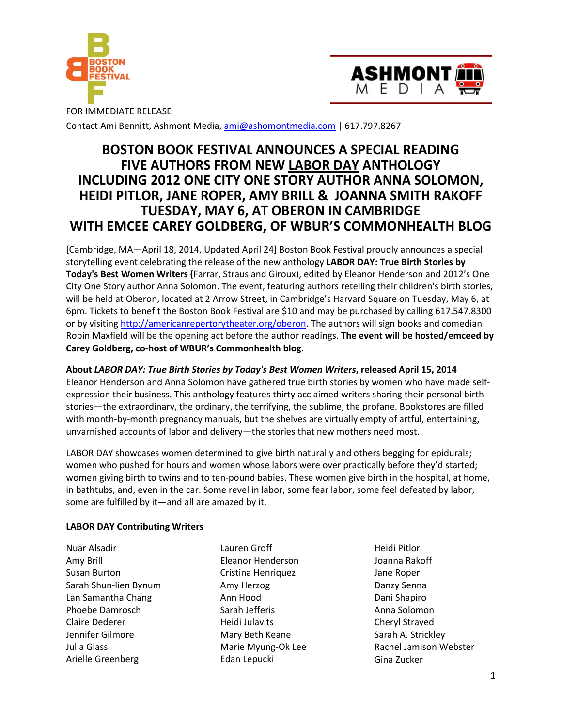



FOR IMMEDIATE RELEASE Contact Ami Bennitt, Ashmont Media, ami@ashomontmedia.com | 617.797.8267

# **BOSTON BOOK FESTIVAL ANNOUNCES A SPECIAL READING FIVE AUTHORS FROM NEW LABOR DAY ANTHOLOGY INCLUDING 2012 ONE CITY ONE STORY AUTHOR ANNA SOLOMON, HEIDI PITLOR, JANE ROPER, AMY BRILL & JOANNA SMITH RAKOFF TUESDAY, MAY 6, AT OBERON IN CAMBRIDGE WITH EMCEE CAREY GOLDBERG, OF WBUR'S COMMONHEALTH BLOG**

[Cambridge, MA—April 18, 2014, Updated April 24] Boston Book Festival proudly announces a special storytelling event celebrating the release of the new anthology **LABOR DAY: True Birth Stories by Today's Best Women Writers (**Farrar, Straus and Giroux), edited by Eleanor Henderson and 2012's One City One Story author Anna Solomon. The event, featuring authors retelling their children's birth stories, will be held at Oberon, located at 2 Arrow Street, in Cambridge's Harvard Square on Tuesday, May 6, at 6pm. Tickets to benefit the Boston Book Festival are \$10 and may be purchased by calling 617.547.8300 or by visiting http://americanrepertorytheater.org/oberon. The authors will sign books and comedian Robin Maxfield will be the opening act before the author readings. **The event will be hosted/emceed by Carey Goldberg, co-host of WBUR's Commonhealth blog.** 

# **About** *LABOR DAY: True Birth Stories by Today's Best Women Writers***, released April 15, 2014**

Eleanor Henderson and Anna Solomon have gathered true birth stories by women who have made selfexpression their business. This anthology features thirty acclaimed writers sharing their personal birth stories—the extraordinary, the ordinary, the terrifying, the sublime, the profane. Bookstores are filled with month-by-month pregnancy manuals, but the shelves are virtually empty of artful, entertaining, unvarnished accounts of labor and delivery—the stories that new mothers need most.

LABOR DAY showcases women determined to give birth naturally and others begging for epidurals; women who pushed for hours and women whose labors were over practically before they'd started; women giving birth to twins and to ten-pound babies. These women give birth in the hospital, at home, in bathtubs, and, even in the car. Some revel in labor, some fear labor, some feel defeated by labor, some are fulfilled by it—and all are amazed by it.

# **LABOR DAY Contributing Writers**

Nuar Alsadir Amy Brill Susan Burton Sarah Shun-lien Bynum Lan Samantha Chang Phoebe Damrosch Claire Dederer Jennifer Gilmore Julia Glass Arielle Greenberg

Lauren Groff Eleanor Henderson Cristina Henriquez Amy Herzog Ann Hood Sarah Jefferis Heidi Julavits Mary Beth Keane Marie Myung-Ok Lee Edan Lepucki

Heidi Pitlor Joanna Rakoff Jane Roper Danzy Senna Dani Shapiro Anna Solomon Cheryl Strayed Sarah A. Strickley Rachel Jamison Webster Gina Zucker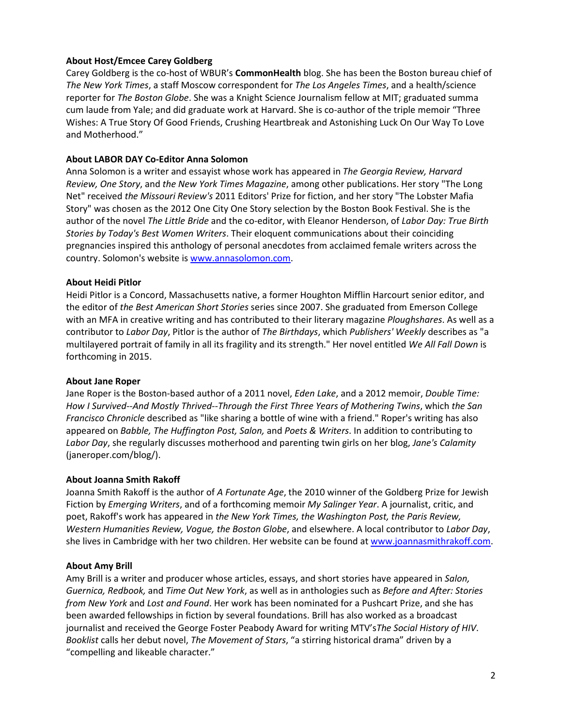# **About Host/Emcee Carey Goldberg**

Carey Goldberg is the co-host of WBUR's **CommonHealth** blog. She has been the Boston bureau chief of *The New York Times*, a staff Moscow correspondent for *The Los Angeles Times*, and a health/science reporter for *The Boston Globe*. She was a Knight Science Journalism fellow at MIT; graduated summa cum laude from Yale; and did graduate work at Harvard. She is co-author of the triple memoir "Three Wishes: A True Story Of Good Friends, Crushing Heartbreak and Astonishing Luck On Our Way To Love and Motherhood."

## **About LABOR DAY Co-Editor Anna Solomon**

Anna Solomon is a writer and essayist whose work has appeared in *The Georgia Review, Harvard Review, One Story*, and *the New York Times Magazine*, among other publications. Her story "The Long Net" received *the Missouri Review's* 2011 Editors' Prize for fiction, and her story "The Lobster Mafia Story" was chosen as the 2012 One City One Story selection by the Boston Book Festival. She is the author of the novel *The Little Bride* and the co-editor, with Eleanor Henderson, of *Labor Day: True Birth Stories by Today's Best Women Writers*. Their eloquent communications about their coinciding pregnancies inspired this anthology of personal anecdotes from acclaimed female writers across the country. Solomon's website is www.annasolomon.com.

#### **About Heidi Pitlor**

Heidi Pitlor is a Concord, Massachusetts native, a former Houghton Mifflin Harcourt senior editor, and the editor of *the Best American Short Stories* series since 2007. She graduated from Emerson College with an MFA in creative writing and has contributed to their literary magazine *Ploughshares*. As well as a contributor to *Labor Day*, Pitlor is the author of *The Birthdays*, which *Publishers' Weekly* describes as "a multilayered portrait of family in all its fragility and its strength." Her novel entitled *We All Fall Down* is forthcoming in 2015.

#### **About Jane Roper**

Jane Roper is the Boston-based author of a 2011 novel, *Eden Lake*, and a 2012 memoir, *Double Time: How I Survived--And Mostly Thrived--Through the First Three Years of Mothering Twins*, which *the San Francisco Chronicle* described as "like sharing a bottle of wine with a friend." Roper's writing has also appeared on *Babble, The Huffington Post, Salon,* and *Poets & Writers*. In addition to contributing to *Labor Day*, she regularly discusses motherhood and parenting twin girls on her blog, *Jane's Calamity* (janeroper.com/blog/).

#### **About Joanna Smith Rakoff**

Joanna Smith Rakoff is the author of *A Fortunate Age*, the 2010 winner of the Goldberg Prize for Jewish Fiction by *Emerging Writers*, and of a forthcoming memoir *My Salinger Year*. A journalist, critic, and poet, Rakoff's work has appeared in *the New York Times, the Washington Post, the Paris Review, Western Humanities Review, Vogue, the Boston Globe*, and elsewhere. A local contributor to *Labor Day*, she lives in Cambridge with her two children. Her website can be found at www.joannasmithrakoff.com.

# **About Amy Brill**

Amy Brill is a writer and producer whose articles, essays, and short stories have appeared in *Salon, Guernica, Redbook,* and *Time Out New York*, as well as in anthologies such as *Before and After: Stories from New York* and *Lost and Found*. Her work has been nominated for a Pushcart Prize, and she has been awarded fellowships in fiction by several foundations. Brill has also worked as a broadcast journalist and received the George Foster Peabody Award for writing MTV's*The Social History of HIV*. *Booklist* calls her debut novel, *The Movement of Stars*, "a stirring historical drama" driven by a "compelling and likeable character."